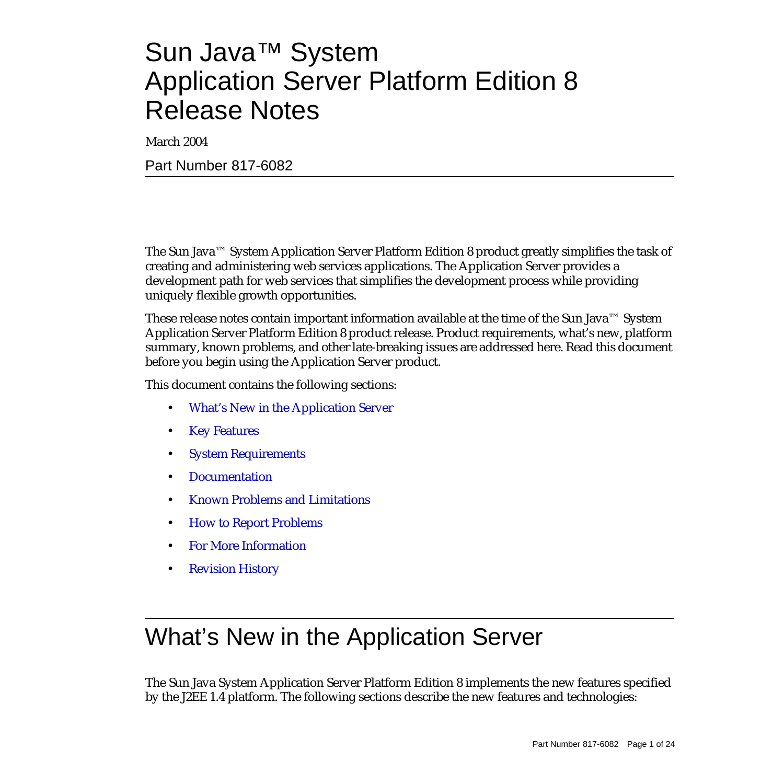# Sun Java™ System Application Server Platform Edition 8 Release Notes

March 2004

Part Number 817-6082

The Sun Java™ System Application Server Platform Edition 8 product greatly simplifies the task of creating and administering web services applications. The Application Server provides a development path for web services that simplifies the development process while providing uniquely flexible growth opportunities.

These release notes contain important information available at the time of the Sun Java™ System Application Server Platform Edition 8 product release. Product requirements, what's new, platform summary, known problems, and other late-breaking issues are addressed here. Read this document before you begin using the Application Server product.

This document contains the following sections:

- [What's New in the Application Server](#page-0-0)
- [Key Features](#page-4-0)
- [System Requirements](#page-7-0)
- [Documentation](#page-10-0)
- [Known Problems and Limitations](#page-11-0)
- [How to Report Problems](#page-21-0)
- [For More Information](#page-22-0)
- **[Revision History](#page-23-0)**

# <span id="page-0-0"></span>What's New in the Application Server

The Sun Java System Application Server Platform Edition 8 implements the new features specified by the J2EE 1.4 platform. The following sections describe the new features and technologies: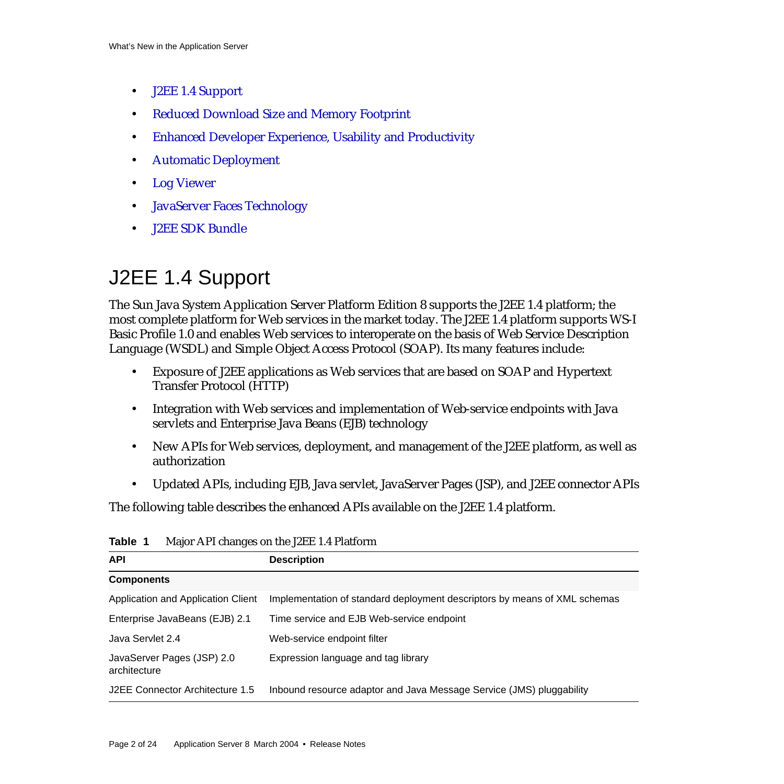- [J2EE 1.4 Support](#page-1-0)
- [Reduced Download Size and Memory Footprint](#page-2-0)
- [Enhanced Developer Experience, Usability and Productivity](#page-3-0)
- [Automatic Deployment](#page-3-1)
- [Log Viewer](#page-3-2)
- [JavaServer Faces Technology](#page-4-2)
- [J2EE SDK Bundle](#page-4-1)

# <span id="page-1-0"></span>J2EE 1.4 Support

The Sun Java System Application Server Platform Edition 8 supports the J2EE 1.4 platform; the most complete platform for Web services in the market today. The J2EE 1.4 platform supports WS-I Basic Profile 1.0 and enables Web services to interoperate on the basis of Web Service Description Language (WSDL) and Simple Object Access Protocol (SOAP). Its many features include:

- Exposure of J2EE applications as Web services that are based on SOAP and Hypertext Transfer Protocol (HTTP)
- Integration with Web services and implementation of Web-service endpoints with Java servlets and Enterprise Java Beans (EJB) technology
- New APIs for Web services, deployment, and management of the J2EE platform, as well as authorization
- Updated APIs, including EJB, Java servlet, JavaServer Pages (JSP), and J2EE connector APIs

The following table describes the enhanced APIs available on the J2EE 1.4 platform.

| <b>API</b>                                 | <b>Description</b>                                                        |
|--------------------------------------------|---------------------------------------------------------------------------|
| <b>Components</b>                          |                                                                           |
| Application and Application Client         | Implementation of standard deployment descriptors by means of XML schemas |
| Enterprise JavaBeans (EJB) 2.1             | Time service and EJB Web-service endpoint                                 |
| Java Servlet 2.4                           | Web-service endpoint filter                                               |
| JavaServer Pages (JSP) 2.0<br>architecture | Expression language and tag library                                       |
| J2EE Connector Architecture 1.5            | Inbound resource adaptor and Java Message Service (JMS) pluggability      |

**Table 1** Major API changes on the J2EE 1.4 Platform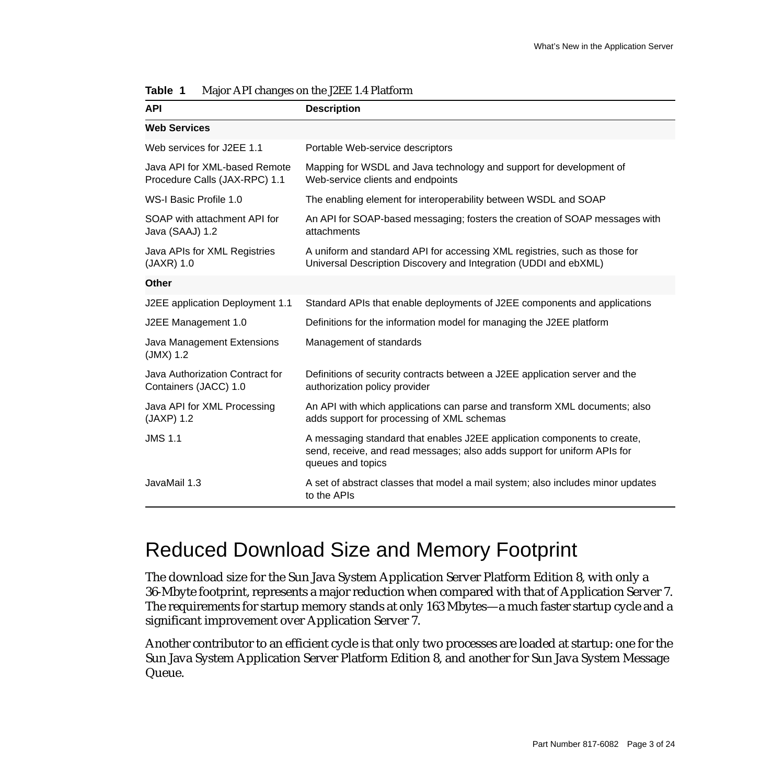| <b>API</b>                                                                                                   | <b>Description</b>                                                                                                                                                        |  |
|--------------------------------------------------------------------------------------------------------------|---------------------------------------------------------------------------------------------------------------------------------------------------------------------------|--|
| <b>Web Services</b>                                                                                          |                                                                                                                                                                           |  |
| Web services for J2EE 1.1                                                                                    | Portable Web-service descriptors                                                                                                                                          |  |
| Java API for XML-based Remote<br>Procedure Calls (JAX-RPC) 1.1                                               | Mapping for WSDL and Java technology and support for development of<br>Web-service clients and endpoints                                                                  |  |
| WS-I Basic Profile 1.0                                                                                       | The enabling element for interoperability between WSDL and SOAP                                                                                                           |  |
| SOAP with attachment API for<br>Java (SAAJ) 1.2                                                              | An API for SOAP-based messaging; fosters the creation of SOAP messages with<br>attachments                                                                                |  |
| Java APIs for XML Registries<br>$(JAXR)$ 1.0                                                                 | A uniform and standard API for accessing XML registries, such as those for<br>Universal Description Discovery and Integration (UDDI and ebXML)                            |  |
| Other                                                                                                        |                                                                                                                                                                           |  |
| J2EE application Deployment 1.1<br>Standard APIs that enable deployments of J2EE components and applications |                                                                                                                                                                           |  |
| J2EE Management 1.0                                                                                          | Definitions for the information model for managing the J2EE platform                                                                                                      |  |
| Java Management Extensions<br>$(JMX)$ 1.2                                                                    | Management of standards                                                                                                                                                   |  |
| Java Authorization Contract for<br>Containers (JACC) 1.0                                                     | Definitions of security contracts between a J2EE application server and the<br>authorization policy provider                                                              |  |
| Java API for XML Processing<br>$(JAXP)$ 1.2                                                                  | An API with which applications can parse and transform XML documents; also<br>adds support for processing of XML schemas                                                  |  |
| <b>JMS 1.1</b>                                                                                               | A messaging standard that enables J2EE application components to create,<br>send, receive, and read messages; also adds support for uniform APIs for<br>queues and topics |  |
| JavaMail 1.3                                                                                                 | A set of abstract classes that model a mail system; also includes minor updates<br>to the APIs                                                                            |  |

| Table 1 |  | Major API changes on the J2EE 1.4 Platform |  |  |
|---------|--|--------------------------------------------|--|--|
|---------|--|--------------------------------------------|--|--|

### <span id="page-2-0"></span>Reduced Download Size and Memory Footprint

The download size for the Sun Java System Application Server Platform Edition 8, with only a 36-Mbyte footprint, represents a major reduction when compared with that of Application Server 7. The requirements for startup memory stands at only 163 Mbytes—a much faster startup cycle and a significant improvement over Application Server 7.

Another contributor to an efficient cycle is that only two processes are loaded at startup: one for the Sun Java System Application Server Platform Edition 8, and another for Sun Java System Message Queue.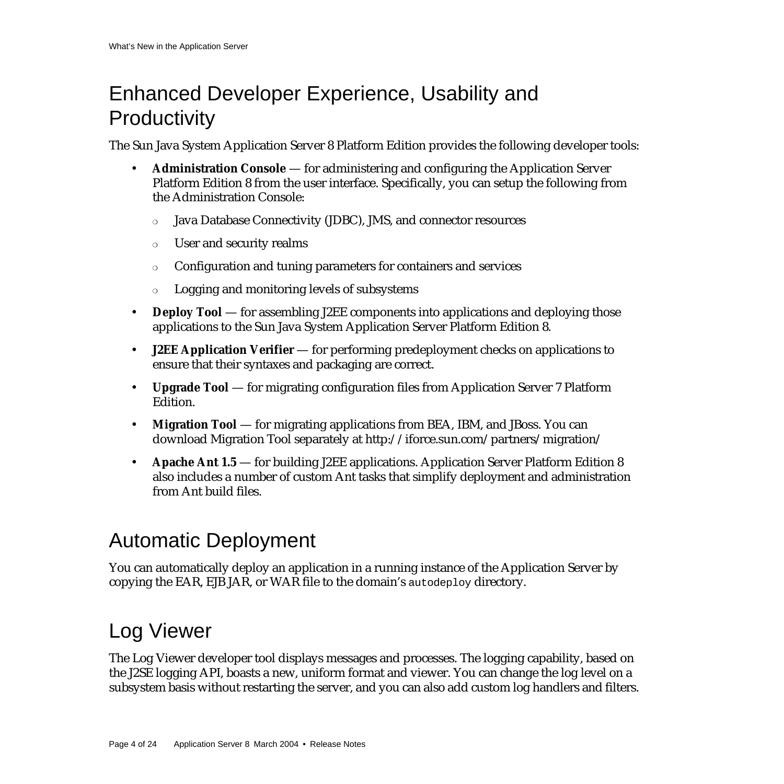## <span id="page-3-0"></span>Enhanced Developer Experience, Usability and **Productivity**

The Sun Java System Application Server 8 Platform Edition provides the following developer tools:

- **Administration Console** for administering and configuring the Application Server Platform Edition 8 from the user interface. Specifically, you can setup the following from the Administration Console:
	- ❍ Java Database Connectivity (JDBC), JMS, and connector resources
	- ❍ User and security realms
	- ❍ Configuration and tuning parameters for containers and services
	- ❍ Logging and monitoring levels of subsystems
- **Deploy Tool** for assembling J2EE components into applications and deploying those applications to the Sun Java System Application Server Platform Edition 8.
- **J2EE Application Verifier** for performing predeployment checks on applications to ensure that their syntaxes and packaging are correct.
- **Upgrade Tool** for migrating configuration files from Application Server 7 Platform Edition.
- **Migration Tool** [for migrating applications from BEA, IBM, and JBoss. You can](http://iforce.sun.com/partners/migration/) [download Migration Tool separately at http://iforce.sun.com/partners/migration/](http://iforce.sun.com/partners/migration/)
- **Apache Ant 1.5** for building J2EE applications. Application Server Platform Edition 8 also includes a number of custom Ant tasks that simplify deployment and administration from Ant build files.

# <span id="page-3-1"></span>Automatic Deployment

You can automatically deploy an application in a running instance of the Application Server by copying the EAR, EJB JAR, or WAR file to the domain's autodeploy directory.

# <span id="page-3-2"></span>Log Viewer

The Log Viewer developer tool displays messages and processes. The logging capability, based on the J2SE logging API, boasts a new, uniform format and viewer. You can change the log level on a subsystem basis without restarting the server, and you can also add custom log handlers and filters.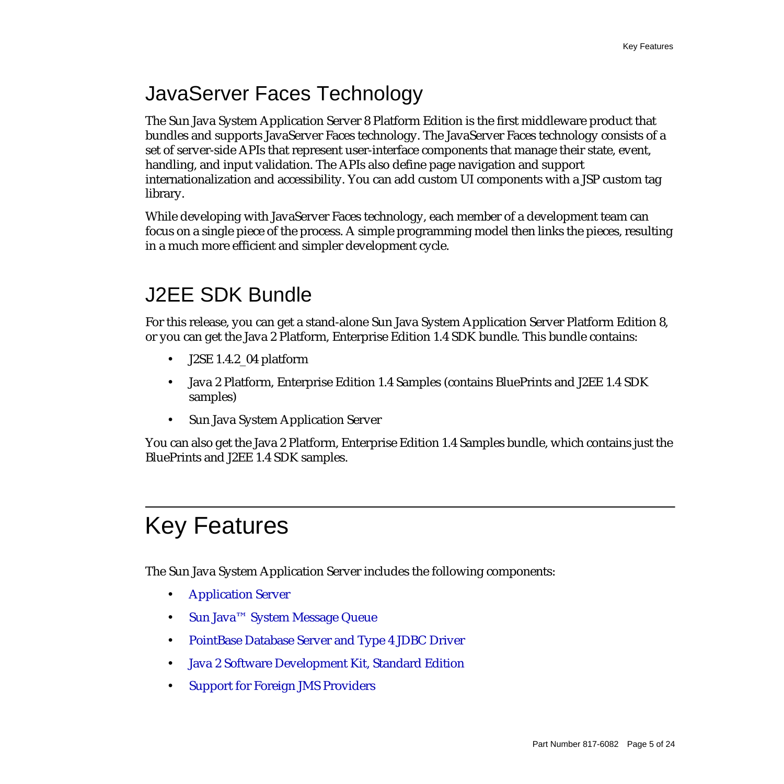## <span id="page-4-2"></span>JavaServer Faces Technology

The Sun Java System Application Server 8 Platform Edition is the first middleware product that bundles and supports JavaServer Faces technology. The JavaServer Faces technology consists of a set of server-side APIs that represent user-interface components that manage their state, event, handling, and input validation. The APIs also define page navigation and support internationalization and accessibility. You can add custom UI components with a JSP custom tag library.

While developing with JavaServer Faces technology, each member of a development team can focus on a single piece of the process. A simple programming model then links the pieces, resulting in a much more efficient and simpler development cycle.

## <span id="page-4-1"></span>J2EE SDK Bundle

For this release, you can get a stand-alone Sun Java System Application Server Platform Edition 8, or you can get the Java 2 Platform, Enterprise Edition 1.4 SDK bundle. This bundle contains:

- J2SE 1.4.2\_04 platform
- Java 2 Platform, Enterprise Edition 1.4 Samples (contains BluePrints and J2EE 1.4 SDK samples)
- Sun Java System Application Server

You can also get the Java 2 Platform, Enterprise Edition 1.4 Samples bundle, which contains just the BluePrints and J2EE 1.4 SDK samples.

# <span id="page-4-0"></span>Key Features

The Sun Java System Application Server includes the following components:

- [Application Server](#page-5-0)
- [Sun Java™ System Message Queue](#page-6-0)
- [PointBase Database Server and Type 4 JDBC Driver](#page-6-1)
- [Java 2 Software Development Kit, Standard Edition](#page-6-3)
- [Support for Foreign JMS Providers](#page-6-2)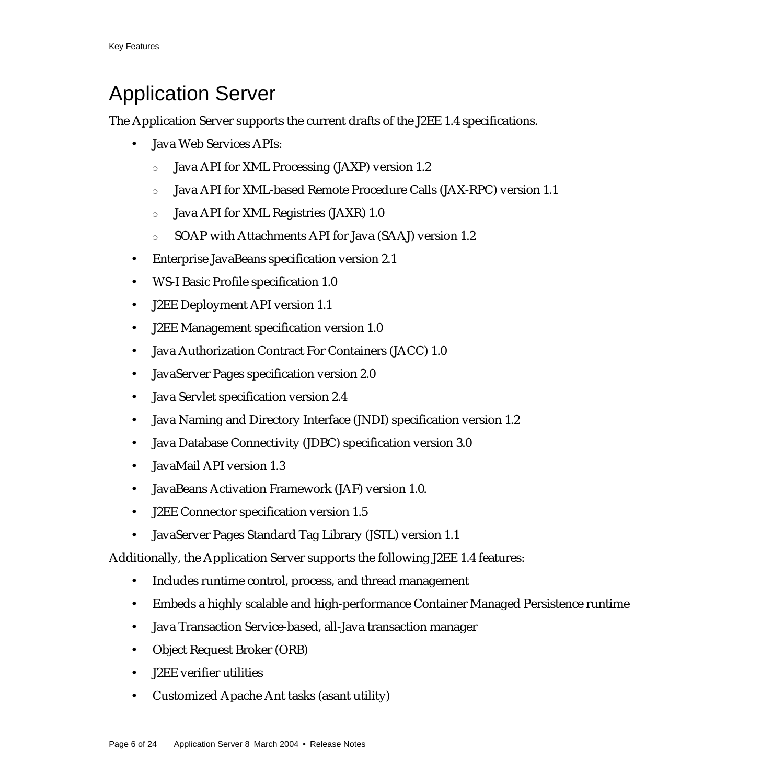## <span id="page-5-0"></span>Application Server

The Application Server supports the current drafts of the J2EE 1.4 specifications.

- Java Web Services APIs:
	- ❍ Java API for XML Processing (JAXP) version 1.2
	- ❍ Java API for XML-based Remote Procedure Calls (JAX-RPC) version 1.1
	- ❍ Java API for XML Registries (JAXR) 1.0
	- ❍ SOAP with Attachments API for Java (SAAJ) version 1.2
- Enterprise JavaBeans specification version 2.1
- WS-I Basic Profile specification 1.0
- J2EE Deployment API version 1.1
- J2EE Management specification version 1.0
- Java Authorization Contract For Containers (JACC) 1.0
- JavaServer Pages specification version 2.0
- Java Servlet specification version 2.4
- Java Naming and Directory Interface (JNDI) specification version 1.2
- Java Database Connectivity (JDBC) specification version 3.0
- JavaMail API version 1.3
- JavaBeans Activation Framework (JAF) version 1.0.
- J2EE Connector specification version 1.5
- JavaServer Pages Standard Tag Library (JSTL) version 1.1

Additionally, the Application Server supports the following J2EE 1.4 features:

- Includes runtime control, process, and thread management
- Embeds a highly scalable and high-performance Container Managed Persistence runtime
- Java Transaction Service-based, all-Java transaction manager
- Object Request Broker (ORB)
- J2EE verifier utilities
- Customized Apache Ant tasks (asant utility)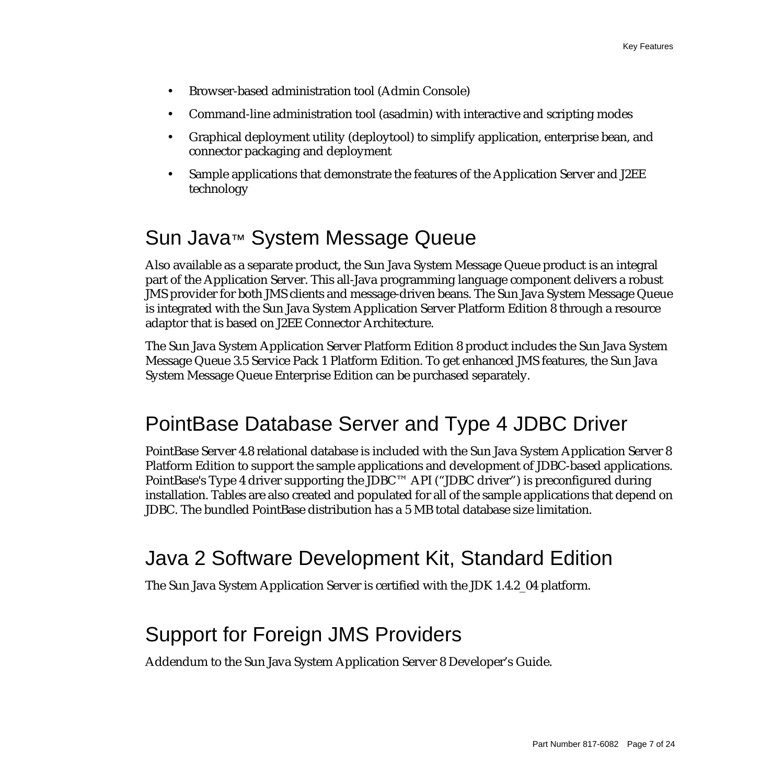- Browser-based administration tool (Admin Console)
- Command-line administration tool (asadmin) with interactive and scripting modes
- Graphical deployment utility (deploytool) to simplify application, enterprise bean, and connector packaging and deployment
- Sample applications that demonstrate the features of the Application Server and J2EE technology

### <span id="page-6-0"></span>Sun Java™ System Message Queue

Also available as a separate product, the Sun Java System Message Queue product is an integral part of the Application Server. This all-Java programming language component delivers a robust JMS provider for both JMS clients and message-driven beans. The Sun Java System Message Queue is integrated with the Sun Java System Application Server Platform Edition 8 through a resource adaptor that is based on J2EE Connector Architecture.

The Sun Java System Application Server Platform Edition 8 product includes the Sun Java System Message Queue 3.5 Service Pack 1 Platform Edition. To get enhanced JMS features, the Sun Java System Message Queue Enterprise Edition can be purchased separately.

## <span id="page-6-1"></span>PointBase Database Server and Type 4 JDBC Driver

PointBase Server 4.8 relational database is included with the Sun Java System Application Server 8 Platform Edition to support the sample applications and development of JDBC-based applications. PointBase's Type 4 driver supporting the JDBC™ API ("JDBC driver") is preconfigured during installation. Tables are also created and populated for all of the sample applications that depend on JDBC. The bundled PointBase distribution has a 5 MB total database size limitation.

### <span id="page-6-3"></span>Java 2 Software Development Kit, Standard Edition

The Sun Java System Application Server is certified with the JDK 1.4.2\_04 platform.

## <span id="page-6-2"></span>Support for Foreign JMS Providers

Addendum to the Sun Java System Application Server 8 Developer's Guide.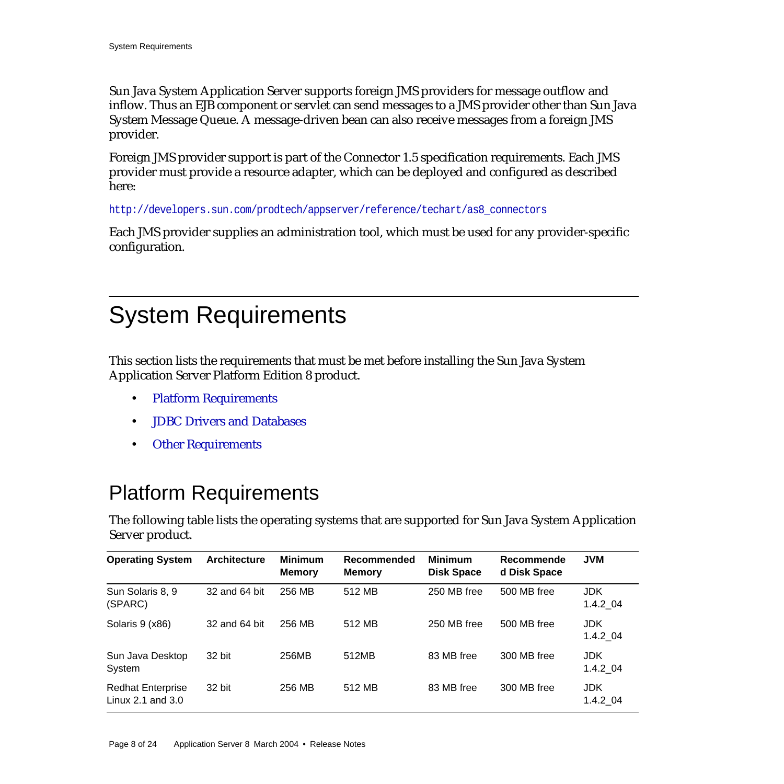Sun Java System Application Server supports foreign JMS providers for message outflow and inflow. Thus an EJB component or servlet can send messages to a JMS provider other than Sun Java System Message Queue. A message-driven bean can also receive messages from a foreign JMS provider.

Foreign JMS provider support is part of the Connector 1.5 specification requirements. Each JMS provider must provide a resource adapter, which can be deployed and configured as described here:

[h](http://developers.sun.com/prodtech/appserver/reference/techart/as8_connectors)ttp://developers.sun.com/prodtech/appserver/reference/techart/as8\_connectors

Each JMS provider supplies an administration tool, which must be used for any provider-specific configuration.

# <span id="page-7-0"></span>System Requirements

This section lists the requirements that must be met before installing the Sun Java System Application Server Platform Edition 8 product.

- [Platform Requirements](#page-7-1)
- [JDBC Drivers and Databases](#page-8-0)
- [Other Requirements](#page-9-0)

## <span id="page-7-1"></span>Platform Requirements

The following table lists the operating systems that are supported for Sun Java System Application Server product.

| <b>Operating System</b>                         | <b>Architecture</b> | <b>Minimum</b><br><b>Memory</b> | Recommended<br><b>Memory</b> | <b>Minimum</b><br><b>Disk Space</b> | Recommende<br>d Disk Space | <b>JVM</b>             |
|-------------------------------------------------|---------------------|---------------------------------|------------------------------|-------------------------------------|----------------------------|------------------------|
| Sun Solaris 8, 9<br>(SPARC)                     | 32 and 64 bit       | 256 MB                          | 512 MB                       | 250 MB free                         | 500 MB free                | JDK.<br>$1.4.2\_04$    |
| Solaris 9 (x86)                                 | 32 and 64 bit       | 256 MB                          | 512 MB                       | 250 MB free                         | 500 MB free                | <b>JDK</b><br>1.4.2 04 |
| Sun Java Desktop<br>System                      | 32 bit              | 256MB                           | 512MB                        | 83 MB free                          | 300 MB free                | JDK.<br>1.4.2 04       |
| <b>Redhat Enterprise</b><br>Linux 2.1 and $3.0$ | 32 bit              | 256 MB                          | 512 MB                       | 83 MB free                          | 300 MB free                | JDK.<br>1.4.2 04       |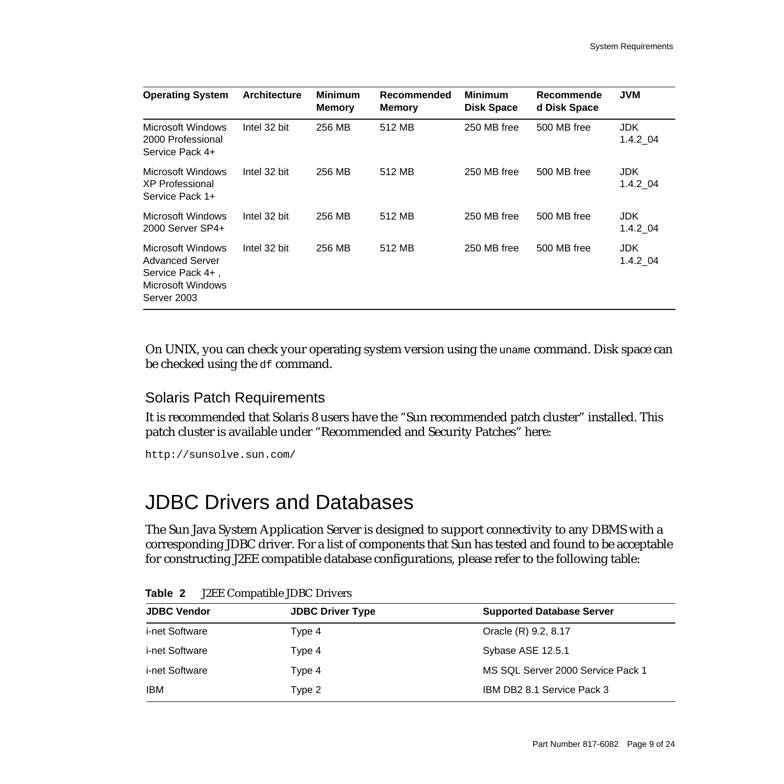| <b>Operating System</b>                                                                             | <b>Architecture</b> | <b>Minimum</b><br><b>Memory</b> | Recommended<br><b>Memory</b> | <b>Minimum</b><br><b>Disk Space</b> | Recommende<br>d Disk Space | <b>JVM</b>       |
|-----------------------------------------------------------------------------------------------------|---------------------|---------------------------------|------------------------------|-------------------------------------|----------------------------|------------------|
| Microsoft Windows<br>2000 Professional<br>Service Pack 4+                                           | Intel 32 bit        | 256 MB                          | 512 MB                       | 250 MB free                         | 500 MB free                | JDK.<br>1.4.2 04 |
| Microsoft Windows<br>XP Professional<br>Service Pack 1+                                             | Intel 32 bit        | 256 MB                          | 512 MB                       | 250 MB free                         | 500 MB free                | JDK.<br>1.4.2 04 |
| Microsoft Windows<br>2000 Server SP4+                                                               | Intel 32 bit        | 256 MB                          | 512 MB                       | 250 MB free                         | 500 MB free                | JDK.<br>1.4.2 04 |
| Microsoft Windows<br><b>Advanced Server</b><br>Service Pack 4+,<br>Microsoft Windows<br>Server 2003 | Intel 32 bit        | 256 MB                          | 512 MB                       | 250 MB free                         | 500 MB free                | JDK.<br>1.4.2 04 |

On UNIX, you can check your operating system version using the uname command. Disk space can be checked using the df command.

### Solaris Patch Requirements

It is recommended that Solaris 8 users have the "Sun recommended patch cluster" installed. This patch cluster is available under "Recommended and Security Patches" here:

<http://sunsolve.sun.com/>

### <span id="page-8-0"></span>JDBC Drivers and Databases

The Sun Java System Application Server is designed to support connectivity to any DBMS with a corresponding JDBC driver. For a list of components that Sun has tested and found to be acceptable for constructing J2EE compatible database configurations, please refer to the following table:

| <b>JDBC Vendor</b>    | <b>JDBC Driver Type</b> | <b>Supported Database Server</b>  |
|-----------------------|-------------------------|-----------------------------------|
| <i>i-net Software</i> | Type 4                  | Oracle (R) 9.2, 8.17              |
| i-net Software        | Type 4                  | Sybase ASE 12.5.1                 |
| i-net Software        | Type 4                  | MS SQL Server 2000 Service Pack 1 |
| <b>IBM</b>            | Type 2                  | IBM DB2 8.1 Service Pack 3        |

**Table 2** J2EE Compatible JDBC Drivers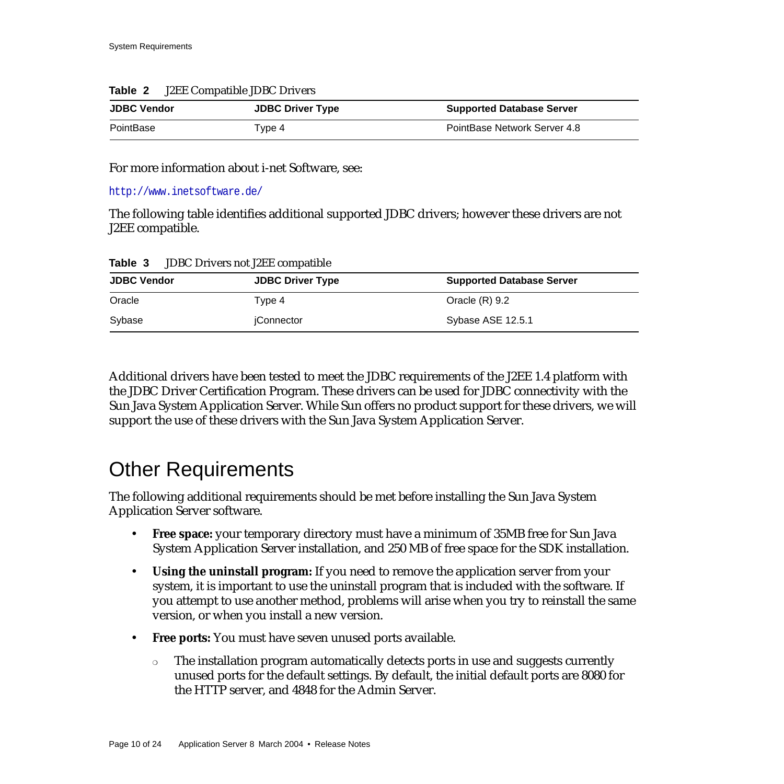### **Table 2** J2EE Compatible JDBC Drivers

| <b>JDBC Vendor</b> | <b>JDBC Driver Type</b> | <b>Supported Database Server</b> |
|--------------------|-------------------------|----------------------------------|
| PointBase          | Type 4                  | PointBase Network Server 4.8     |

### For more information about i-net Software, see:

[h](http://www.inetsoftware.de/)ttp://www.inetsoftware.de/

The following table identifies additional supported JDBC drivers; however these drivers are not J2EE compatible.

| <b>JDBC Drivers not J2EE compatible</b><br>Table 3 |  |
|----------------------------------------------------|--|
|----------------------------------------------------|--|

| <b>JDBC Vendor</b> | <b>JDBC Driver Type</b> | <b>Supported Database Server</b> |
|--------------------|-------------------------|----------------------------------|
| Oracle             | Tvpe 4                  | Oracle $(R)$ 9.2                 |
| Sybase             | iConnector              | Sybase ASE 12.5.1                |

Additional drivers have been tested to meet the JDBC requirements of the J2EE 1.4 platform with the JDBC Driver Certification Program. These drivers can be used for JDBC connectivity with the Sun Java System Application Server. While Sun offers no product support for these drivers, we will support the use of these drivers with the Sun Java System Application Server.

### <span id="page-9-0"></span>Other Requirements

The following additional requirements should be met before installing the Sun Java System Application Server software.

- **Free space:** your temporary directory must have a minimum of 35MB free for Sun Java System Application Server installation, and 250 MB of free space for the SDK installation.
- **Using the uninstall program:** If you need to remove the application server from your system, it is important to use the uninstall program that is included with the software. If you attempt to use another method, problems will arise when you try to reinstall the same version, or when you install a new version.
- **Free ports:** You must have seven unused ports available.
	- ❍ The installation program automatically detects ports in use and suggests currently unused ports for the default settings. By default, the initial default ports are 8080 for the HTTP server, and 4848 for the Admin Server.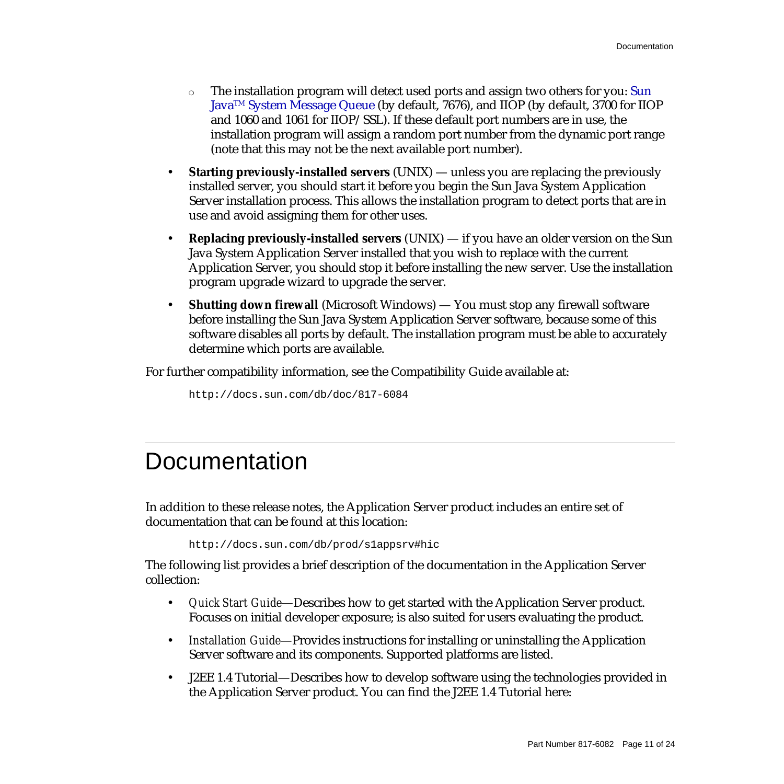- ❍ The installation program will detect used ports and assign two others for you: Sun JavaTM System Message Queue (by default, 7676), and IIOP (by default, 3700 for IIOP and 1060 and 1061 for IIOP/SSL). If these default port numbers are in use, the installation program will assign a random port number from the dynamic port range (note that this may not be the next available port number).
- **Starting previously-installed servers** (UNIX) unless you are replacing the previously installed server, you should start it before you begin the Sun Java System Application Server installation process. This allows the installation program to detect ports that are in use and avoid assigning them for other uses.
- **Replacing previously-installed servers** (UNIX) if you have an older version on the Sun Java System Application Server installed that you wish to replace with the current Application Server, you should stop it before installing the new server. Use the installation program upgrade wizard to upgrade the server.
- **Shutting down firewall** (Microsoft Windows) You must stop any firewall software before installing the Sun Java System Application Server software, because some of this software disables all ports by default. The installation program must be able to accurately determine which ports are available.

For further compatibility information, see the Compatibility Guide available at:

<http://docs.sun.com/db/doc/817-6084>

# <span id="page-10-0"></span>**Documentation**

In addition to these release notes, the Application Server product includes an entire set of documentation that can be found at this location:

<http://docs.sun.com/db/prod/s1appsrv#hic>

The following list provides a brief description of the documentation in the Application Server collection:

- *Quick Start Guide*—Describes how to get started with the Application Server product. Focuses on initial developer exposure; is also suited for users evaluating the product.
- *Installation Guide*—Provides instructions for installing or uninstalling the Application Server software and its components. Supported platforms are listed.
- J2EE 1.4 Tutorial—Describes how to develop software using the technologies provided in the Application Server product. You can find the J2EE 1.4 Tutorial here: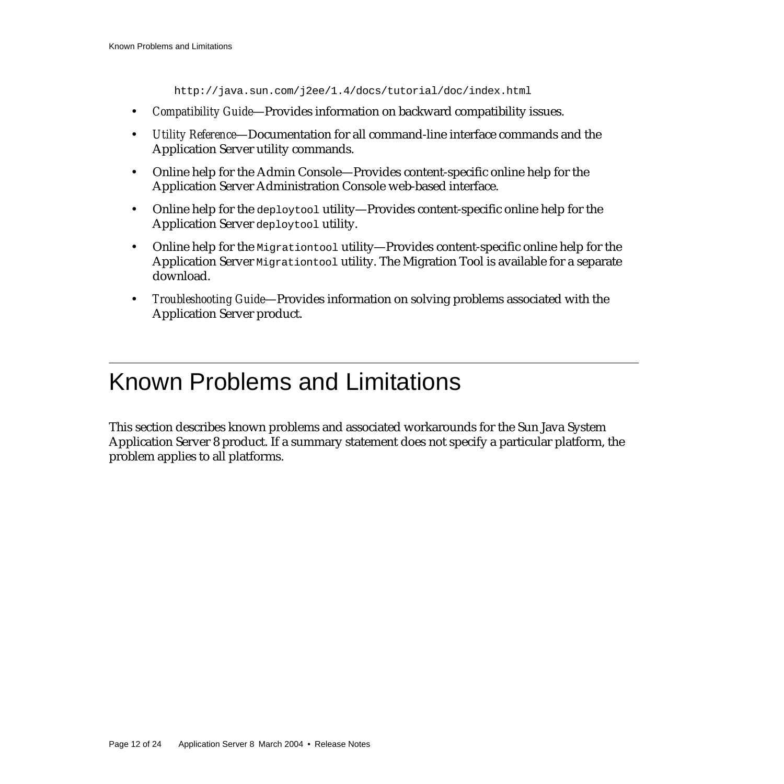http://java.sun.com/j2ee/1.4/docs/tutorial/doc/index.html

- *Compatibility Guide*—Provides information on backward compatibility issues.
- *Utility Reference*—Documentation for all command-line interface commands and the Application Server utility commands.
- Online help for the Admin Console—Provides content-specific online help for the Application Server Administration Console web-based interface.
- Online help for the deploytool utility—Provides content-specific online help for the Application Server deploytool utility.
- Online help for the Migration tool utility—Provides content-specific online help for the Application Server Migrationtool utility. The Migration Tool is available for a separate download.
- *Troubleshooting Guide*—Provides information on solving problems associated with the Application Server product.

# <span id="page-11-0"></span>Known Problems and Limitations

This section describes known problems and associated workarounds for the Sun Java System Application Server 8 product. If a summary statement does not specify a particular platform, the problem applies to all platforms.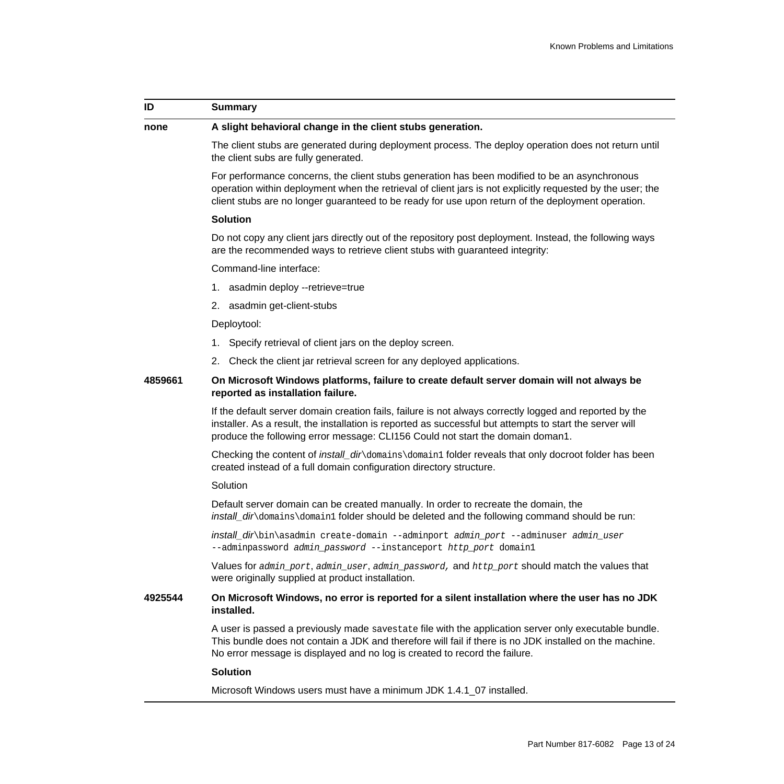### **ID Summary**

#### **none A slight behavioral change in the client stubs generation.**

The client stubs are generated during deployment process. The deploy operation does not return until the client subs are fully generated.

For performance concerns, the client stubs generation has been modified to be an asynchronous operation within deployment when the retrieval of client jars is not explicitly requested by the user; the client stubs are no longer guaranteed to be ready for use upon return of the deployment operation.

#### **Solution**

Do not copy any client jars directly out of the repository post deployment. Instead, the following ways are the recommended ways to retrieve client stubs with guaranteed integrity:

Command-line interface:

- 1. asadmin deploy --retrieve=true
- 2. asadmin get-client-stubs

Deploytool:

- 1. Specify retrieval of client jars on the deploy screen.
- 2. Check the client jar retrieval screen for any deployed applications.

### **4859661 On Microsoft Windows platforms, failure to create default server domain will not always be reported as installation failure.**

If the default server domain creation fails, failure is not always correctly logged and reported by the installer. As a result, the installation is reported as successful but attempts to start the server will produce the following error message: CLI156 Could not start the domain doman1.

Checking the content of *install\_dir*\domains\domain1 folder reveals that only docroot folder has been created instead of a full domain configuration directory structure.

#### **Solution**

Default server domain can be created manually. In order to recreate the domain, the install\_dir\domains\domain1 folder should be deleted and the following command should be run:

install dir\bin\asadmin create-domain --adminport admin port --adminuser admin user --adminpassword admin\_password --instanceport http\_port domain1

Values for admin port, admin user, admin password, and http port should match the values that were originally supplied at product installation.

### **4925544 On Microsoft Windows, no error is reported for a silent installation where the user has no JDK installed.**

A user is passed a previously made savestate file with the application server only executable bundle. This bundle does not contain a JDK and therefore will fail if there is no JDK installed on the machine. No error message is displayed and no log is created to record the failure.

### **Solution**

Microsoft Windows users must have a minimum JDK 1.4.1\_07 installed.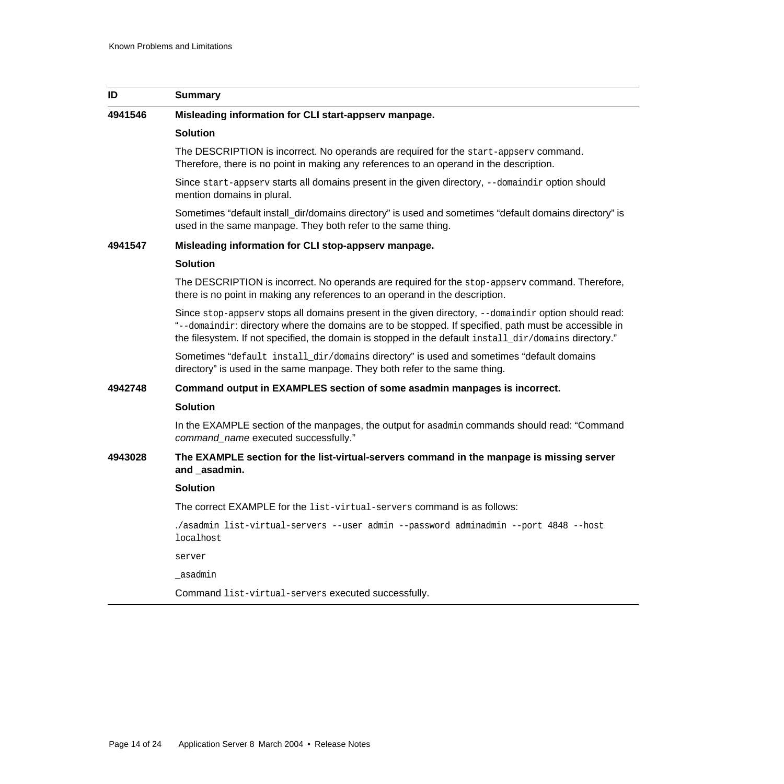| ID      | <b>Summary</b>                                                                                                                                                                                                                                                                                                          |
|---------|-------------------------------------------------------------------------------------------------------------------------------------------------------------------------------------------------------------------------------------------------------------------------------------------------------------------------|
| 4941546 | Misleading information for CLI start-appserv manpage.                                                                                                                                                                                                                                                                   |
|         | <b>Solution</b>                                                                                                                                                                                                                                                                                                         |
|         | The DESCRIPTION is incorrect. No operands are required for the start-appserv command.<br>Therefore, there is no point in making any references to an operand in the description.                                                                                                                                        |
|         | Since start-appserv starts all domains present in the given directory, --domaindir option should<br>mention domains in plural.                                                                                                                                                                                          |
|         | Sometimes "default install_dir/domains directory" is used and sometimes "default domains directory" is<br>used in the same manpage. They both refer to the same thing.                                                                                                                                                  |
| 4941547 | Misleading information for CLI stop-appserv manpage.                                                                                                                                                                                                                                                                    |
|         | <b>Solution</b>                                                                                                                                                                                                                                                                                                         |
|         | The DESCRIPTION is incorrect. No operands are required for the stop-appsery command. Therefore,<br>there is no point in making any references to an operand in the description.                                                                                                                                         |
|         | Since stop-appsery stops all domains present in the given directory, --domaindir option should read:<br>"--domaindir: directory where the domains are to be stopped. If specified, path must be accessible in<br>the filesystem. If not specified, the domain is stopped in the default install_dir/domains directory." |
|         | Sometimes "default install_dir/domains directory" is used and sometimes "default domains<br>directory" is used in the same manpage. They both refer to the same thing.                                                                                                                                                  |
| 4942748 | Command output in EXAMPLES section of some asadmin manpages is incorrect.                                                                                                                                                                                                                                               |
|         | <b>Solution</b>                                                                                                                                                                                                                                                                                                         |
|         | In the EXAMPLE section of the manpages, the output for asadmin commands should read: "Command"<br>command_name executed successfully."                                                                                                                                                                                  |
| 4943028 | The EXAMPLE section for the list-virtual-servers command in the manpage is missing server<br>and asadmin.                                                                                                                                                                                                               |
|         | <b>Solution</b>                                                                                                                                                                                                                                                                                                         |
|         | The correct EXAMPLE for the list-virtual-servers command is as follows:                                                                                                                                                                                                                                                 |
|         | ./asadmin list-virtual-servers --user admin --password adminadmin --port 4848 --host<br>localhost                                                                                                                                                                                                                       |
|         | server                                                                                                                                                                                                                                                                                                                  |
|         | _asadmin                                                                                                                                                                                                                                                                                                                |
|         | Command list-virtual-servers executed successfully.                                                                                                                                                                                                                                                                     |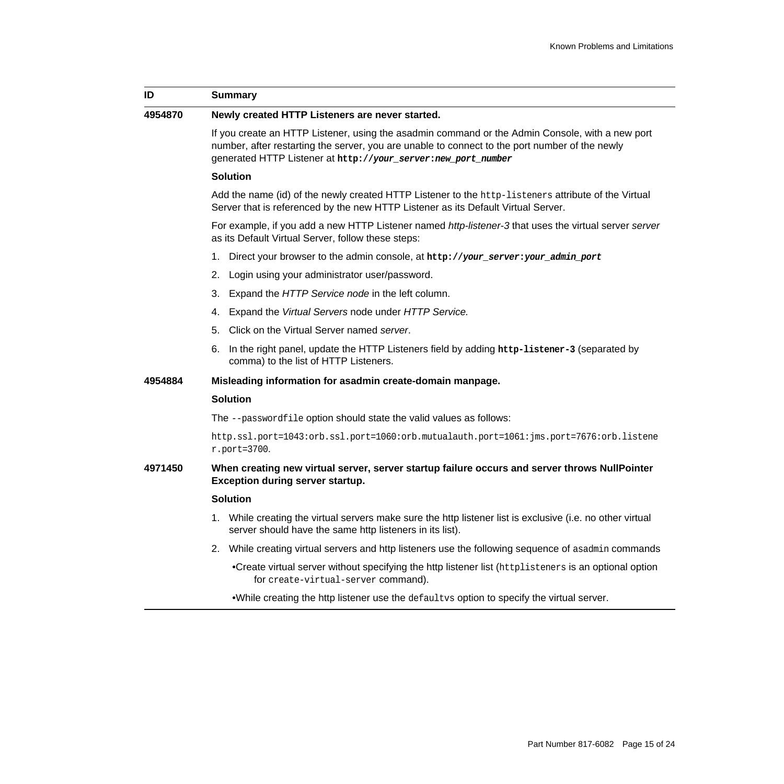| ID      | <b>Summary</b>                                                                                                                                                                                                                                                     |
|---------|--------------------------------------------------------------------------------------------------------------------------------------------------------------------------------------------------------------------------------------------------------------------|
| 4954870 | Newly created HTTP Listeners are never started.                                                                                                                                                                                                                    |
|         | If you create an HTTP Listener, using the asadmin command or the Admin Console, with a new port<br>number, after restarting the server, you are unable to connect to the port number of the newly<br>generated HTTP Listener at http://your_server:new_port_number |
|         | <b>Solution</b>                                                                                                                                                                                                                                                    |
|         | Add the name (id) of the newly created HTTP Listener to the http-listeners attribute of the Virtual<br>Server that is referenced by the new HTTP Listener as its Default Virtual Server.                                                                           |
|         | For example, if you add a new HTTP Listener named http-listener-3 that uses the virtual server server<br>as its Default Virtual Server, follow these steps:                                                                                                        |
|         | Direct your browser to the admin console, at http://your_server:your_admin_port<br>1.                                                                                                                                                                              |
|         | 2.<br>Login using your administrator user/password.                                                                                                                                                                                                                |
|         | Expand the HTTP Service node in the left column.<br>3.                                                                                                                                                                                                             |
|         | Expand the Virtual Servers node under HTTP Service.<br>4.                                                                                                                                                                                                          |
|         | 5. Click on the Virtual Server named server.                                                                                                                                                                                                                       |
|         | 6. In the right panel, update the HTTP Listeners field by adding http-listener-3 (separated by<br>comma) to the list of HTTP Listeners.                                                                                                                            |
| 4954884 | Misleading information for asadmin create-domain manpage.                                                                                                                                                                                                          |
|         | <b>Solution</b>                                                                                                                                                                                                                                                    |
|         | The --passwordfile option should state the valid values as follows:                                                                                                                                                                                                |
|         | http.ssl.port=1043:orb.ssl.port=1060:orb.mutualauth.port=1061:jms.port=7676:orb.listene<br>$r.$ port=3700.                                                                                                                                                         |
| 4971450 | When creating new virtual server, server startup failure occurs and server throws NullPointer<br>Exception during server startup.                                                                                                                                  |
|         | <b>Solution</b>                                                                                                                                                                                                                                                    |
|         | 1. While creating the virtual servers make sure the http listener list is exclusive (i.e. no other virtual<br>server should have the same http listeners in its list).                                                                                             |
|         | 2. While creating virtual servers and http listeners use the following sequence of asadmin commands                                                                                                                                                                |
|         | •Create virtual server without specifying the http listener list (httplisteners is an optional option<br>for create-virtual-server command).                                                                                                                       |

•While creating the http listener use the defaultvs option to specify the virtual server.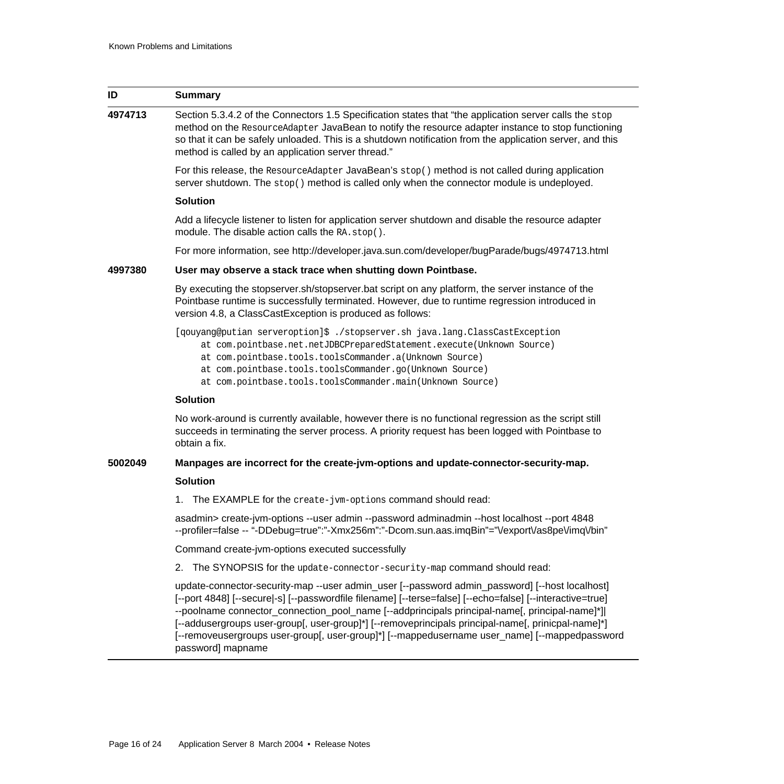| ID      | <b>Summary</b>                                                                                                                                                                                                                                                                                                                                                                                                                                                                                                                           |
|---------|------------------------------------------------------------------------------------------------------------------------------------------------------------------------------------------------------------------------------------------------------------------------------------------------------------------------------------------------------------------------------------------------------------------------------------------------------------------------------------------------------------------------------------------|
| 4974713 | Section 5.3.4.2 of the Connectors 1.5 Specification states that "the application server calls the stop<br>method on the ResourceAdapter JavaBean to notify the resource adapter instance to stop functioning<br>so that it can be safely unloaded. This is a shutdown notification from the application server, and this<br>method is called by an application server thread."                                                                                                                                                           |
|         | For this release, the ResourceAdapter JavaBean's stop() method is not called during application<br>server shutdown. The stop() method is called only when the connector module is undeployed.                                                                                                                                                                                                                                                                                                                                            |
|         | <b>Solution</b>                                                                                                                                                                                                                                                                                                                                                                                                                                                                                                                          |
|         | Add a lifecycle listener to listen for application server shutdown and disable the resource adapter<br>module. The disable action calls the RA.stop().                                                                                                                                                                                                                                                                                                                                                                                   |
|         | For more information, see http://developer.java.sun.com/developer/bugParade/bugs/4974713.html                                                                                                                                                                                                                                                                                                                                                                                                                                            |
| 4997380 | User may observe a stack trace when shutting down Pointbase.                                                                                                                                                                                                                                                                                                                                                                                                                                                                             |
|         | By executing the stopserver.sh/stopserver.bat script on any platform, the server instance of the<br>Pointbase runtime is successfully terminated. However, due to runtime regression introduced in<br>version 4.8, a ClassCastException is produced as follows:                                                                                                                                                                                                                                                                          |
|         | [qouyang@putian serveroption]\$ ./stopserver.sh java.lang.ClassCastException<br>at com.pointbase.net.netJDBCPreparedStatement.execute(Unknown Source)<br>at com.pointbase.tools.toolsCommander.a(Unknown Source)<br>at com.pointbase.tools.toolsCommander.go(Unknown Source)<br>at com.pointbase.tools.toolsCommander.main(Unknown Source)                                                                                                                                                                                               |
|         | <b>Solution</b>                                                                                                                                                                                                                                                                                                                                                                                                                                                                                                                          |
|         | No work-around is currently available, however there is no functional regression as the script still<br>succeeds in terminating the server process. A priority request has been logged with Pointbase to<br>obtain a fix.                                                                                                                                                                                                                                                                                                                |
| 5002049 | Manpages are incorrect for the create-jvm-options and update-connector-security-map.                                                                                                                                                                                                                                                                                                                                                                                                                                                     |
|         | <b>Solution</b>                                                                                                                                                                                                                                                                                                                                                                                                                                                                                                                          |
|         | The EXAMPLE for the create-jvm-options command should read:<br>1.                                                                                                                                                                                                                                                                                                                                                                                                                                                                        |
|         | asadmin> create-jvm-options --user admin --password adminadmin --host localhost --port 4848<br>--profiler=false -- "-DDebug=true":"-Xmx256m":"-Dcom.sun.aas.imqBin"="VexportVas8peVimqVbin"                                                                                                                                                                                                                                                                                                                                              |
|         | Command create-jvm-options executed successfully                                                                                                                                                                                                                                                                                                                                                                                                                                                                                         |
|         | The SYNOPSIS for the update-connector-security-map command should read:<br>2.                                                                                                                                                                                                                                                                                                                                                                                                                                                            |
|         | update-connector-security-map --user admin_user [--password admin_password] [--host localhost]<br>[--port 4848] [--secure -s] [--passwordfile filename] [--terse=false] [--echo=false] [--interactive=true]<br>--poolname connector_connection_pool_name [--addprincipals principal-name[, principal-name]*]<br>[--addusergroups user-group[, user-group]*] [--removeprincipals principal-name[, prinicpal-name]*]<br>[--removeusergroups user-group[, user-group]*] [--mappedusername user_name] [--mappedpassword<br>password] mapname |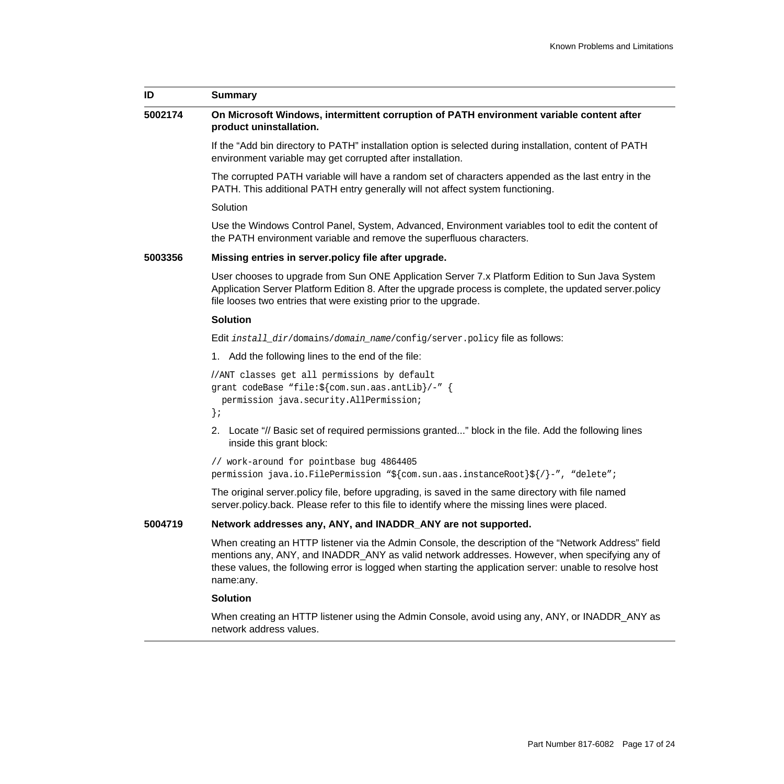| ID      | <b>Summary</b>                                                                                                                                                                                                                                                                                                                 |
|---------|--------------------------------------------------------------------------------------------------------------------------------------------------------------------------------------------------------------------------------------------------------------------------------------------------------------------------------|
| 5002174 | On Microsoft Windows, intermittent corruption of PATH environment variable content after<br>product uninstallation.                                                                                                                                                                                                            |
|         | If the "Add bin directory to PATH" installation option is selected during installation, content of PATH<br>environment variable may get corrupted after installation.                                                                                                                                                          |
|         | The corrupted PATH variable will have a random set of characters appended as the last entry in the<br>PATH. This additional PATH entry generally will not affect system functioning.                                                                                                                                           |
|         | Solution                                                                                                                                                                                                                                                                                                                       |
|         | Use the Windows Control Panel, System, Advanced, Environment variables tool to edit the content of<br>the PATH environment variable and remove the superfluous characters.                                                                                                                                                     |
| 5003356 | Missing entries in server policy file after upgrade.                                                                                                                                                                                                                                                                           |
|         | User chooses to upgrade from Sun ONE Application Server 7.x Platform Edition to Sun Java System<br>Application Server Platform Edition 8. After the upgrade process is complete, the updated server policy<br>file looses two entries that were existing prior to the upgrade.                                                 |
|         | <b>Solution</b>                                                                                                                                                                                                                                                                                                                |
|         | <b>Edit</b> install_dir/domains/domain_name/config/server.policy file as follows:                                                                                                                                                                                                                                              |
|         | 1. Add the following lines to the end of the file:                                                                                                                                                                                                                                                                             |
|         | //ANT classes get all permissions by default<br>grant codeBase "file: \${com.sun.aas.antLib}/-" {<br>permission java.security.AllPermission;<br>$\}$ ;                                                                                                                                                                         |
|         | 2. Locate "// Basic set of required permissions granted" block in the file. Add the following lines<br>inside this grant block:                                                                                                                                                                                                |
|         | // work-around for pointbase bug 4864405<br>permission java.io.FilePermission "\${com.sun.aas.instanceRoot}\${/}-", "delete";                                                                                                                                                                                                  |
|         | The original server policy file, before upgrading, is saved in the same directory with file named<br>server policy back. Please refer to this file to identify where the missing lines were placed.                                                                                                                            |
| 5004719 | Network addresses any, ANY, and INADDR_ANY are not supported.                                                                                                                                                                                                                                                                  |
|         | When creating an HTTP listener via the Admin Console, the description of the "Network Address" field<br>mentions any, ANY, and INADDR_ANY as valid network addresses. However, when specifying any of<br>these values, the following error is logged when starting the application server: unable to resolve host<br>name:any. |
|         | <b>Solution</b>                                                                                                                                                                                                                                                                                                                |

When creating an HTTP listener using the Admin Console, avoid using any, ANY, or INADDR\_ANY as network address values.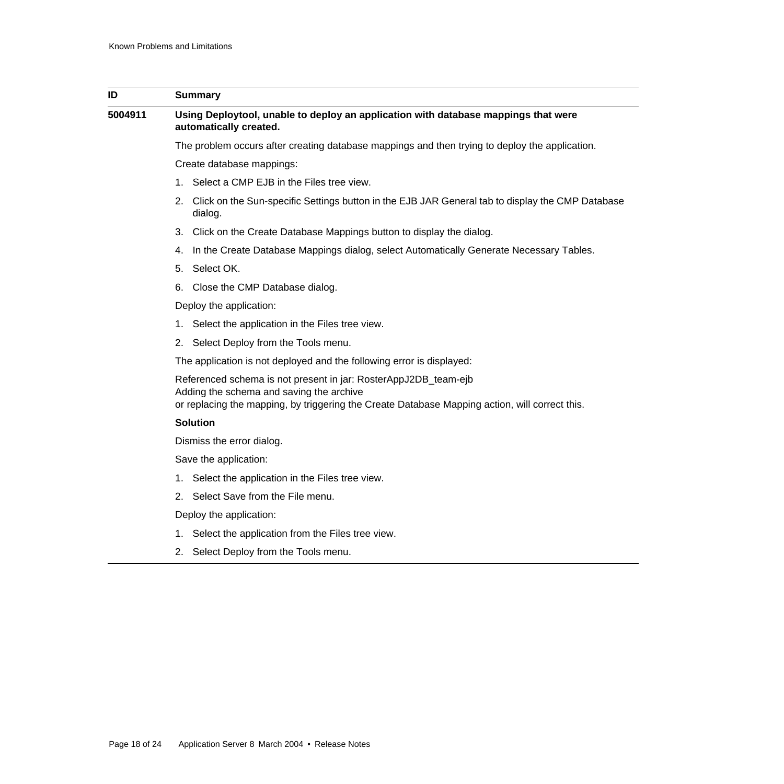| ID      | <b>Summary</b>                                                                                                                                                                                                |  |
|---------|---------------------------------------------------------------------------------------------------------------------------------------------------------------------------------------------------------------|--|
| 5004911 | Using Deploytool, unable to deploy an application with database mappings that were<br>automatically created.                                                                                                  |  |
|         | The problem occurs after creating database mappings and then trying to deploy the application.                                                                                                                |  |
|         | Create database mappings:                                                                                                                                                                                     |  |
|         | 1. Select a CMP EJB in the Files tree view.                                                                                                                                                                   |  |
|         | 2. Click on the Sun-specific Settings button in the EJB JAR General tab to display the CMP Database<br>dialog.                                                                                                |  |
|         | 3. Click on the Create Database Mappings button to display the dialog.                                                                                                                                        |  |
|         | In the Create Database Mappings dialog, select Automatically Generate Necessary Tables.<br>4.                                                                                                                 |  |
|         | 5. Select OK.                                                                                                                                                                                                 |  |
|         | 6. Close the CMP Database dialog.                                                                                                                                                                             |  |
|         | Deploy the application:                                                                                                                                                                                       |  |
|         | 1. Select the application in the Files tree view.                                                                                                                                                             |  |
|         | 2. Select Deploy from the Tools menu.                                                                                                                                                                         |  |
|         | The application is not deployed and the following error is displayed:                                                                                                                                         |  |
|         | Referenced schema is not present in jar: RosterAppJ2DB_team-ejb<br>Adding the schema and saving the archive<br>or replacing the mapping, by triggering the Create Database Mapping action, will correct this. |  |
|         | <b>Solution</b>                                                                                                                                                                                               |  |
|         | Dismiss the error dialog.                                                                                                                                                                                     |  |
|         | Save the application:                                                                                                                                                                                         |  |
|         | Select the application in the Files tree view.<br>1.                                                                                                                                                          |  |
|         | 2. Select Save from the File menu.                                                                                                                                                                            |  |
|         | Deploy the application:                                                                                                                                                                                       |  |
|         | 1. Select the application from the Files tree view.                                                                                                                                                           |  |
|         | 2. Select Deploy from the Tools menu.                                                                                                                                                                         |  |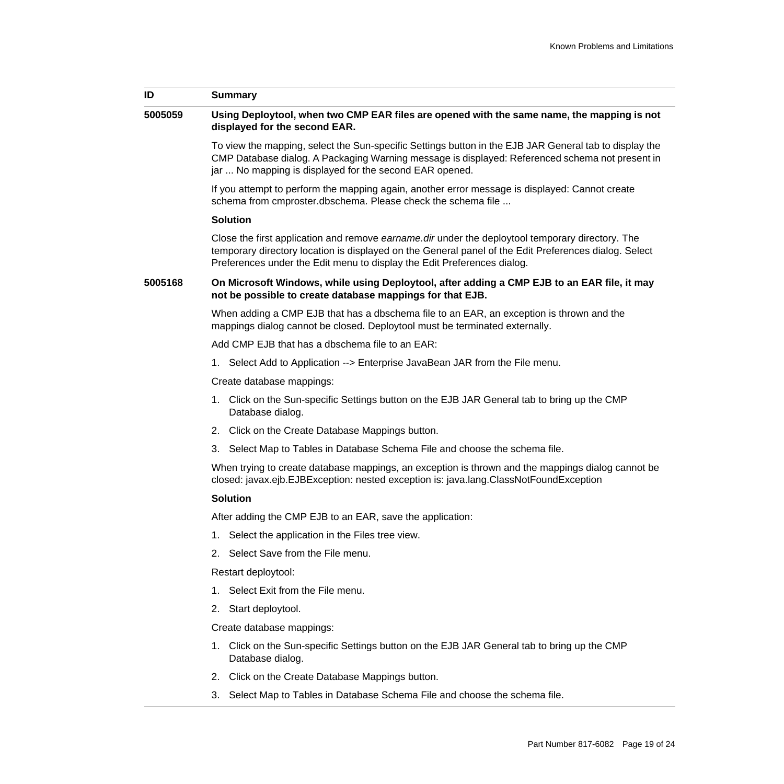| ID      | Summary                                                                                                                                                                                                                                                                                     |
|---------|---------------------------------------------------------------------------------------------------------------------------------------------------------------------------------------------------------------------------------------------------------------------------------------------|
| 5005059 | Using Deploytool, when two CMP EAR files are opened with the same name, the mapping is not<br>displayed for the second EAR.                                                                                                                                                                 |
|         | To view the mapping, select the Sun-specific Settings button in the EJB JAR General tab to display the<br>CMP Database dialog. A Packaging Warning message is displayed: Referenced schema not present in<br>jar  No mapping is displayed for the second EAR opened.                        |
|         | If you attempt to perform the mapping again, another error message is displayed: Cannot create<br>schema from cmproster.dbschema. Please check the schema file                                                                                                                              |
|         | <b>Solution</b>                                                                                                                                                                                                                                                                             |
|         | Close the first application and remove <i>earname dir</i> under the deploytool temporary directory. The<br>temporary directory location is displayed on the General panel of the Edit Preferences dialog. Select<br>Preferences under the Edit menu to display the Edit Preferences dialog. |
| 5005168 | On Microsoft Windows, while using Deploytool, after adding a CMP EJB to an EAR file, it may<br>not be possible to create database mappings for that EJB.                                                                                                                                    |
|         | When adding a CMP EJB that has a dbschema file to an EAR, an exception is thrown and the<br>mappings dialog cannot be closed. Deploytool must be terminated externally.                                                                                                                     |
|         | Add CMP EJB that has a dbschema file to an EAR:                                                                                                                                                                                                                                             |
|         | 1. Select Add to Application --> Enterprise JavaBean JAR from the File menu.                                                                                                                                                                                                                |
|         | Create database mappings:                                                                                                                                                                                                                                                                   |
|         | 1. Click on the Sun-specific Settings button on the EJB JAR General tab to bring up the CMP<br>Database dialog.                                                                                                                                                                             |
|         | 2. Click on the Create Database Mappings button.                                                                                                                                                                                                                                            |
|         | 3. Select Map to Tables in Database Schema File and choose the schema file.                                                                                                                                                                                                                 |
|         | When trying to create database mappings, an exception is thrown and the mappings dialog cannot be<br>closed: javax.ejb.EJBException: nested exception is: java.lang.ClassNotFoundException                                                                                                  |
|         | <b>Solution</b>                                                                                                                                                                                                                                                                             |
|         | After adding the CMP EJB to an EAR, save the application:                                                                                                                                                                                                                                   |
|         | 1. Select the application in the Files tree view.                                                                                                                                                                                                                                           |
|         | 2. Select Save from the File menu.                                                                                                                                                                                                                                                          |
|         | Restart deploytool:                                                                                                                                                                                                                                                                         |
|         | 1. Select Exit from the File menu.                                                                                                                                                                                                                                                          |
|         | 2. Start deploytool.                                                                                                                                                                                                                                                                        |
|         | Create database mappings:                                                                                                                                                                                                                                                                   |
|         | 1. Click on the Sun-specific Settings button on the EJB JAR General tab to bring up the CMP<br>Database dialog.                                                                                                                                                                             |
|         | 2. Click on the Create Database Mappings button.                                                                                                                                                                                                                                            |
|         | 3. Select Map to Tables in Database Schema File and choose the schema file.                                                                                                                                                                                                                 |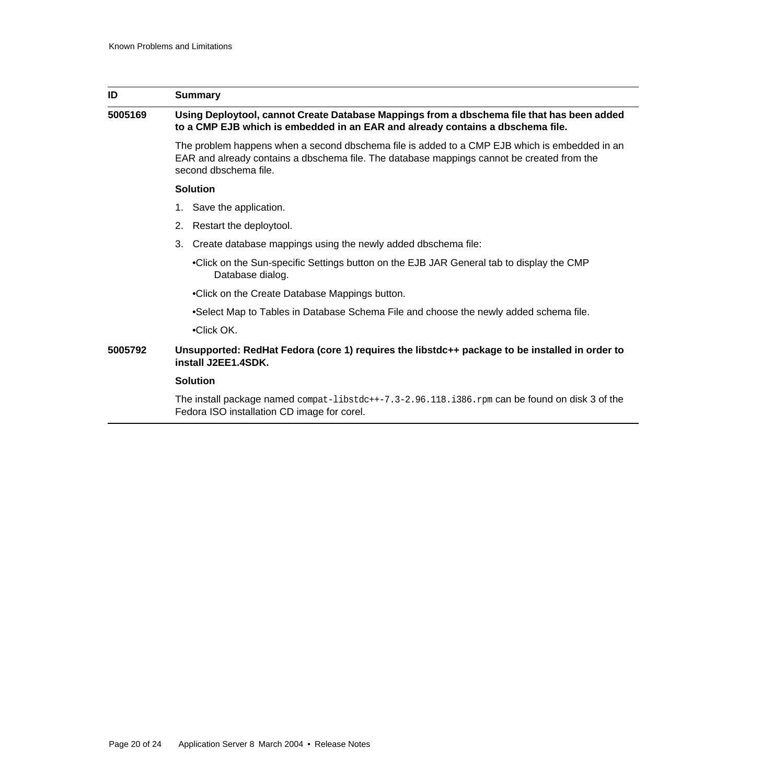| ID      | <b>Summary</b>                                                                                                                                                                                                       |  |
|---------|----------------------------------------------------------------------------------------------------------------------------------------------------------------------------------------------------------------------|--|
| 5005169 | Using Deploytool, cannot Create Database Mappings from a dbschema file that has been added<br>to a CMP EJB which is embedded in an EAR and already contains a dbschema file.                                         |  |
|         | The problem happens when a second dbschema file is added to a CMP EJB which is embedded in an<br>EAR and already contains a dbschema file. The database mappings cannot be created from the<br>second dbschema file. |  |
|         | <b>Solution</b>                                                                                                                                                                                                      |  |
|         | 1. Save the application.                                                                                                                                                                                             |  |
|         | Restart the deploytool.<br>2.                                                                                                                                                                                        |  |
|         | Create database mappings using the newly added dbschema file:<br>3.                                                                                                                                                  |  |
|         | •Click on the Sun-specific Settings button on the EJB JAR General tab to display the CMP<br>Database dialog.                                                                                                         |  |
|         | •Click on the Create Database Mappings button.                                                                                                                                                                       |  |
|         | •Select Map to Tables in Database Schema File and choose the newly added schema file.                                                                                                                                |  |
|         | •Click OK.                                                                                                                                                                                                           |  |
| 5005792 | Unsupported: RedHat Fedora (core 1) requires the libstdc++ package to be installed in order to<br>install J2EE1.4SDK.                                                                                                |  |
|         | <b>Solution</b>                                                                                                                                                                                                      |  |
|         | The install package named $compact$ -libstdc++-7.3-2.96.118.1386.rpm can be found on disk 3 of the<br>Fedora ISO installation CD image for corel.                                                                    |  |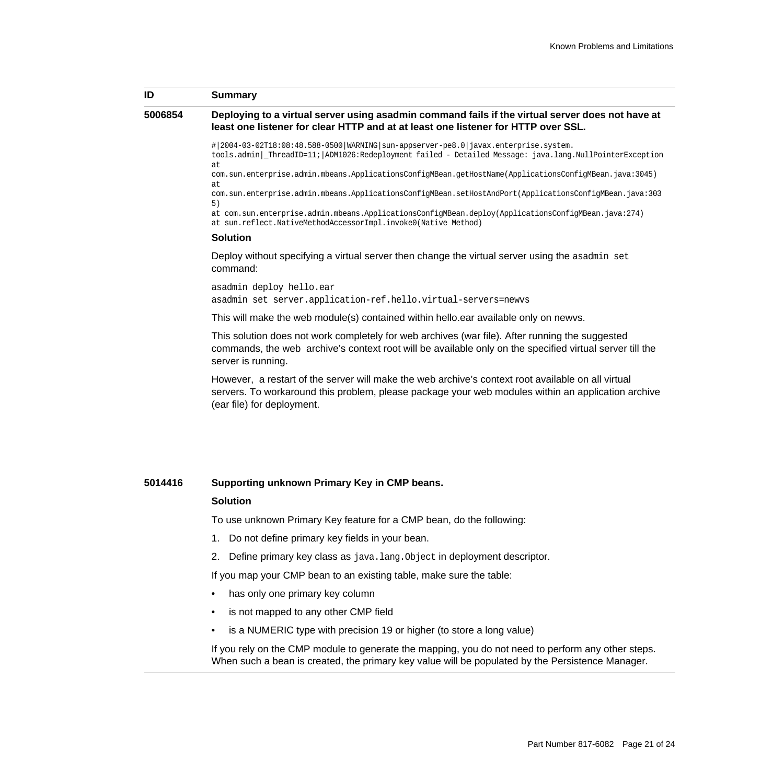### **ID Summary**

### **5006854 Deploying to a virtual server using asadmin command fails if the virtual server does not have at least one listener for clear HTTP and at at least one listener for HTTP over SSL.**

#|2004-03-02T18:08:48.588-0500|WARNING|sun-appserver-pe8.0|javax.enterprise.system. tools.admin|\_ThreadID=11;|ADM1026:Redeployment failed - Detailed Message: java.lang.NullPointerException

at com.sun.enterprise.admin.mbeans.ApplicationsConfigMBean.getHostName(ApplicationsConfigMBean.java:3045) at

com.sun.enterprise.admin.mbeans.ApplicationsConfigMBean.setHostAndPort(ApplicationsConfigMBean.java:303 5)

at com.sun.enterprise.admin.mbeans.ApplicationsConfigMBean.deploy(ApplicationsConfigMBean.java:274) at sun.reflect.NativeMethodAccessorImpl.invoke0(Native Method)

```
Solution
```
Deploy without specifying a virtual server then change the virtual server using the asadmin set command:

asadmin deploy hello.ear asadmin set server.application-ref.hello.virtual-servers=newvs

This will make the web module(s) contained within hello.ear available only on newvs.

This solution does not work completely for web archives (war file). After running the suggested commands, the web archive's context root will be available only on the specified virtual server till the server is running.

However, a restart of the server will make the web archive's context root available on all virtual servers. To workaround this problem, please package your web modules within an application archive (ear file) for deployment.

### **5014416 Supporting unknown Primary Key in CMP beans.**

### **Solution**

To use unknown Primary Key feature for a CMP bean, do the following:

- 1. Do not define primary key fields in your bean.
- 2. Define primary key class as java.lang.Object in deployment descriptor.

If you map your CMP bean to an existing table, make sure the table:

- has only one primary key column
- is not mapped to any other CMP field
- is a NUMERIC type with precision 19 or higher (to store a long value)

If you rely on the CMP module to generate the mapping, you do not need to perform any other steps. When such a bean is created, the primary key value will be populated by the Persistence Manager.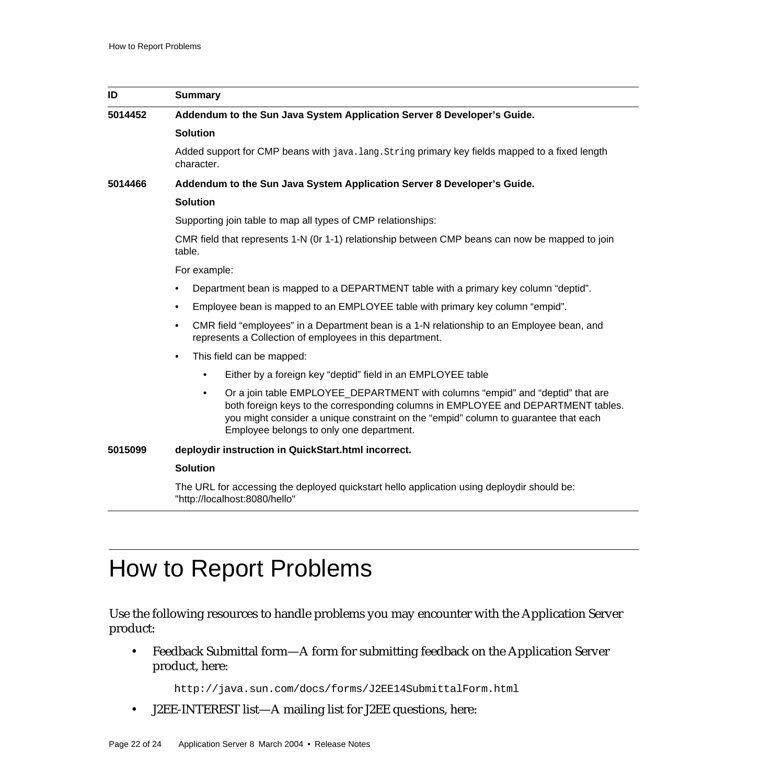| ID      | Summary                                                                                                                                                                                                                                                                                                             |
|---------|---------------------------------------------------------------------------------------------------------------------------------------------------------------------------------------------------------------------------------------------------------------------------------------------------------------------|
| 5014452 | Addendum to the Sun Java System Application Server 8 Developer's Guide.                                                                                                                                                                                                                                             |
|         | <b>Solution</b>                                                                                                                                                                                                                                                                                                     |
|         | Added support for CMP beans with java. Lang. String primary key fields mapped to a fixed length<br>character.                                                                                                                                                                                                       |
| 5014466 | Addendum to the Sun Java System Application Server 8 Developer's Guide.                                                                                                                                                                                                                                             |
|         | <b>Solution</b>                                                                                                                                                                                                                                                                                                     |
|         | Supporting join table to map all types of CMP relationships:                                                                                                                                                                                                                                                        |
|         | CMR field that represents 1-N (0r 1-1) relationship between CMP beans can now be mapped to join<br>table.                                                                                                                                                                                                           |
|         | For example:                                                                                                                                                                                                                                                                                                        |
|         | Department bean is mapped to a DEPARTMENT table with a primary key column "deptid".<br>٠                                                                                                                                                                                                                            |
|         | Employee bean is mapped to an EMPLOYEE table with primary key column "empid".<br>$\bullet$                                                                                                                                                                                                                          |
|         | CMR field "employees" in a Department bean is a 1-N relationship to an Employee bean, and<br>$\bullet$<br>represents a Collection of employees in this department.                                                                                                                                                  |
|         | This field can be mapped:<br>$\bullet$                                                                                                                                                                                                                                                                              |
|         | Either by a foreign key "deptid" field in an EMPLOYEE table<br>$\bullet$                                                                                                                                                                                                                                            |
|         | Or a join table EMPLOYEE DEPARTMENT with columns "empid" and "deptid" that are<br>$\bullet$<br>both foreign keys to the corresponding columns in EMPLOYEE and DEPARTMENT tables.<br>you might consider a unique constraint on the "empid" column to guarantee that each<br>Employee belongs to only one department. |
| 5015099 | deploydir instruction in QuickStart.html incorrect.                                                                                                                                                                                                                                                                 |
|         | <b>Solution</b>                                                                                                                                                                                                                                                                                                     |
|         | The URL for accessing the deployed quickstart hello application using deploydir should be:<br>"http://localhost:8080/hello"                                                                                                                                                                                         |

# <span id="page-21-0"></span>How to Report Problems

Use the following resources to handle problems you may encounter with the Application Server product:

• Feedback Submittal form—A form for submitting feedback on the Application Server product, here:

<http://java.sun.com/docs/forms/J2EE14SubmittalForm.html>

• J2EE-INTEREST list—A mailing list for J2EE questions, here: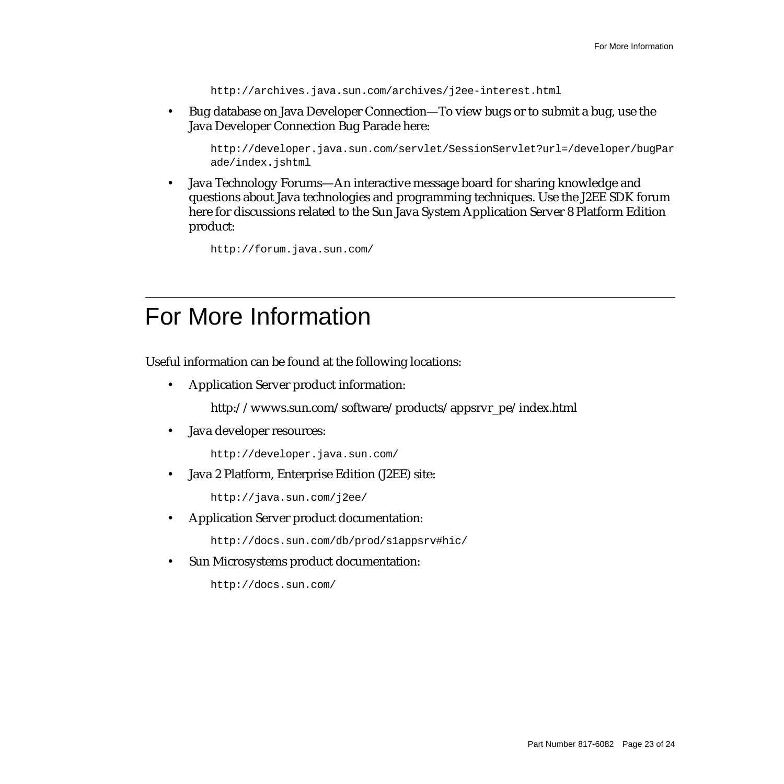<http://archives.java.sun.com/archives/j2ee-interest.html>

• Bug database on Java Developer Connection—To view bugs or to submit a bug, use the Java Developer Connection Bug Parade here:

[http://developer.java.sun.com/servlet/SessionServlet?url=/developer/bugPar](http://developer.java.sun.com/servlet/SessionServlet?url=/developer/bugParade/index.jshtml) ade/index.jshtml

• Java Technology Forums—An interactive message board for sharing knowledge and questions about Java technologies and programming techniques. Use the J2EE SDK forum here for discussions related to the Sun Java System Application Server 8 Platform Edition product:

<http://forum.java.sun.com/>

# <span id="page-22-0"></span>For More Information

Useful information can be found at the following locations:

• Application Server product information:

[http://wwws.sun.com/software/products/appsrvr\\_pe/index.html](http://wwws.sun.com/software/products/appsrvr_pe/index.html)

Java developer resources:

<http://developer.java.sun.com/>

• Java 2 Platform, Enterprise Edition (J2EE) site:

http://java.sun.com/j2ee/

• Application Server product documentation:

<http://docs.sun.com/db/prod/s1appsrv#hic/>

Sun Microsystems product documentation:

<http://docs.sun.com/>